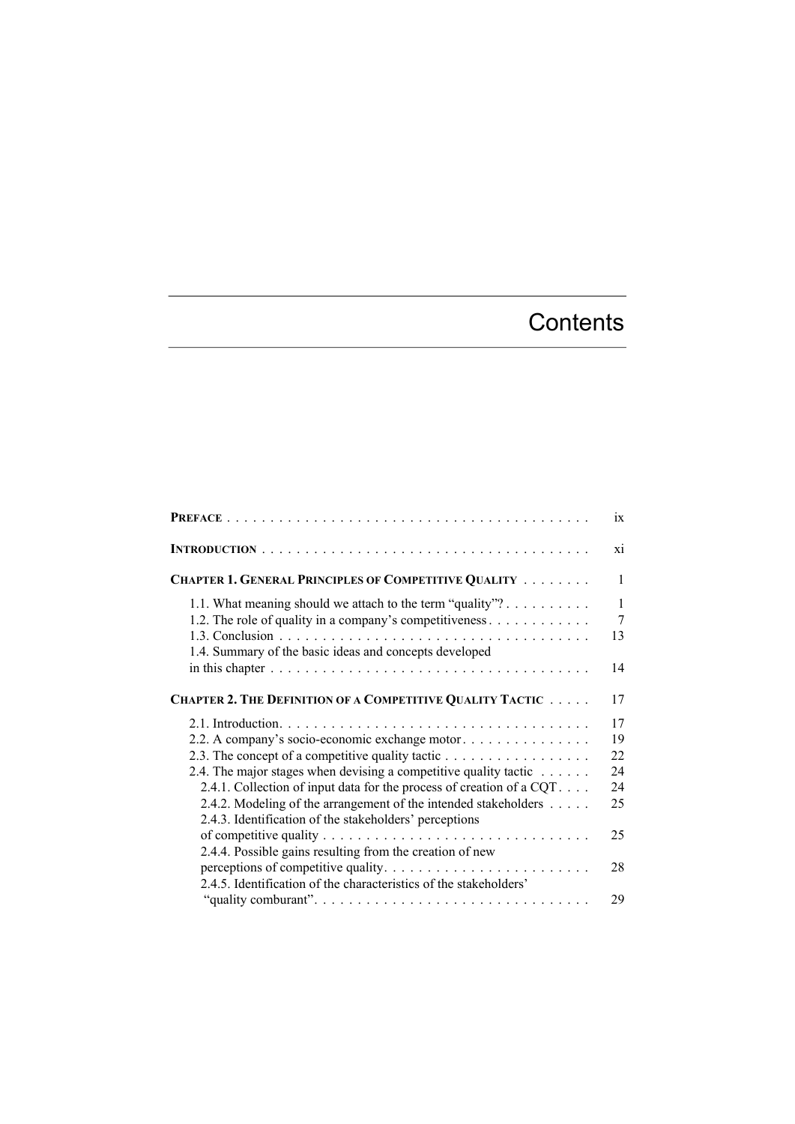## **Contents**

|                                                                                                                                                                                                                                                                                                                                                                                            | ix                                         |
|--------------------------------------------------------------------------------------------------------------------------------------------------------------------------------------------------------------------------------------------------------------------------------------------------------------------------------------------------------------------------------------------|--------------------------------------------|
|                                                                                                                                                                                                                                                                                                                                                                                            | xi                                         |
| <b>CHAPTER 1. GENERAL PRINCIPLES OF COMPETITIVE QUALITY </b>                                                                                                                                                                                                                                                                                                                               | $\mathbf{1}$                               |
| 1.1. What meaning should we attach to the term "quality"?<br>1.2. The role of quality in a company's competitiveness $\dots \dots \dots \dots$<br>1.4. Summary of the basic ideas and concepts developed                                                                                                                                                                                   | $\mathbf{1}$<br>$\overline{7}$<br>13<br>14 |
| <b>CHAPTER 2. THE DEFINITION OF A COMPETITIVE QUALITY TACTIC</b>                                                                                                                                                                                                                                                                                                                           | 17                                         |
| 2.2. A company's socio-economic exchange motor<br>2.3. The concept of a competitive quality tactic<br>2.4. The major stages when devising a competitive quality tactic $\dots \dots$<br>2.4.1. Collection of input data for the process of creation of a CQT.<br>2.4.2. Modeling of the arrangement of the intended stakeholders<br>2.4.3. Identification of the stakeholders' perceptions | 17<br>19<br>22<br>24<br>24<br>25<br>25     |
| 2.4.4. Possible gains resulting from the creation of new<br>2.4.5. Identification of the characteristics of the stakeholders'                                                                                                                                                                                                                                                              | 28<br>29                                   |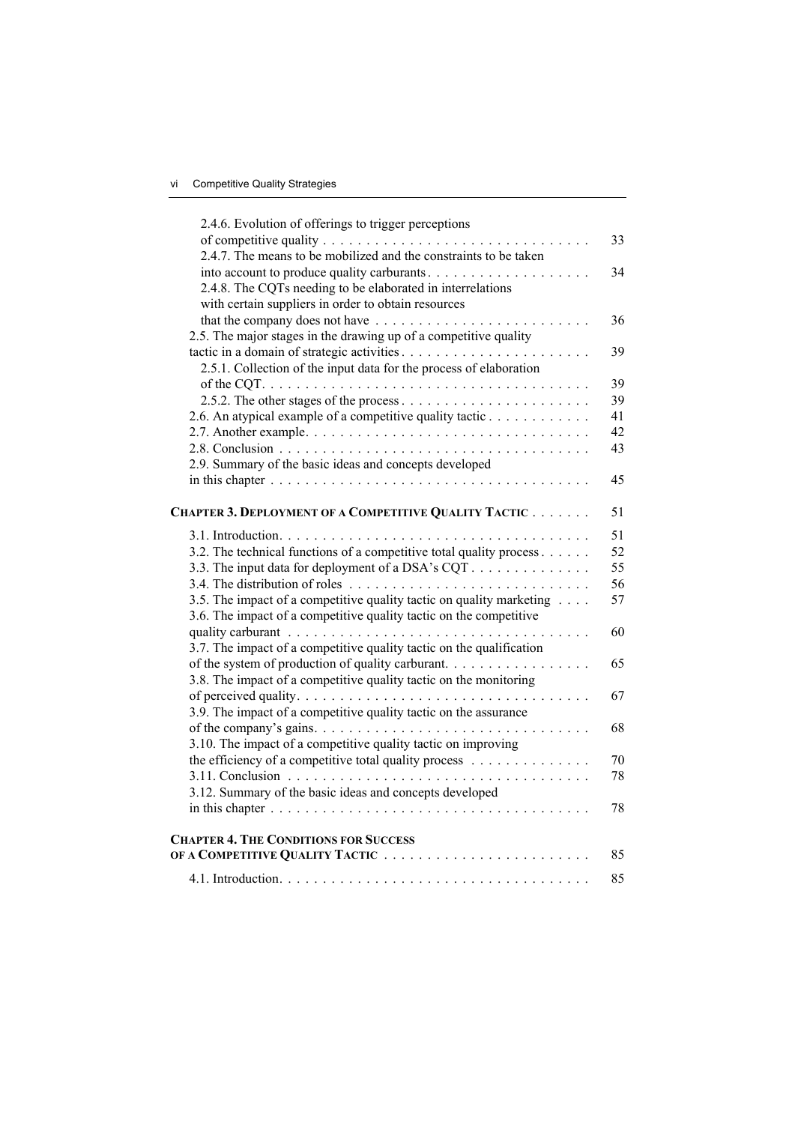| 2.4.6. Evolution of offerings to trigger perceptions                                         |    |
|----------------------------------------------------------------------------------------------|----|
|                                                                                              | 33 |
| 2.4.7. The means to be mobilized and the constraints to be taken                             |    |
| into account to produce quality carburants                                                   | 34 |
| 2.4.8. The CQTs needing to be elaborated in interrelations                                   |    |
| with certain suppliers in order to obtain resources                                          |    |
| that the company does not have $\dots \dots \dots \dots \dots \dots \dots \dots \dots \dots$ | 36 |
| 2.5. The major stages in the drawing up of a competitive quality                             |    |
|                                                                                              | 39 |
| 2.5.1. Collection of the input data for the process of elaboration                           |    |
|                                                                                              | 39 |
|                                                                                              | 39 |
| 2.6. An atypical example of a competitive quality tactic                                     | 41 |
|                                                                                              | 42 |
|                                                                                              | 43 |
| 2.9. Summary of the basic ideas and concepts developed                                       |    |
|                                                                                              | 45 |
|                                                                                              |    |
| CHAPTER 3. DEPLOYMENT OF A COMPETITIVE QUALITY TACTIC                                        | 51 |
|                                                                                              | 51 |
| 3.2. The technical functions of a competitive total quality process                          | 52 |
| 3.3. The input data for deployment of a DSA's CQT                                            | 55 |
|                                                                                              | 56 |
| 3.5. The impact of a competitive quality tactic on quality marketing                         | 57 |
| 3.6. The impact of a competitive quality tactic on the competitive                           |    |
|                                                                                              | 60 |
| 3.7. The impact of a competitive quality tactic on the qualification                         |    |
| of the system of production of quality carburant.                                            | 65 |
| 3.8. The impact of a competitive quality tactic on the monitoring                            |    |
|                                                                                              | 67 |
| 3.9. The impact of a competitive quality tactic on the assurance                             |    |
|                                                                                              | 68 |
| 3.10. The impact of a competitive quality tactic on improving                                |    |
| the efficiency of a competitive total quality process                                        | 70 |
|                                                                                              | 78 |
| 3.12. Summary of the basic ideas and concepts developed                                      |    |
|                                                                                              | 78 |
| <b>CHAPTER 4. THE CONDITIONS FOR SUCCESS</b>                                                 |    |
|                                                                                              | 85 |
|                                                                                              | 85 |
|                                                                                              |    |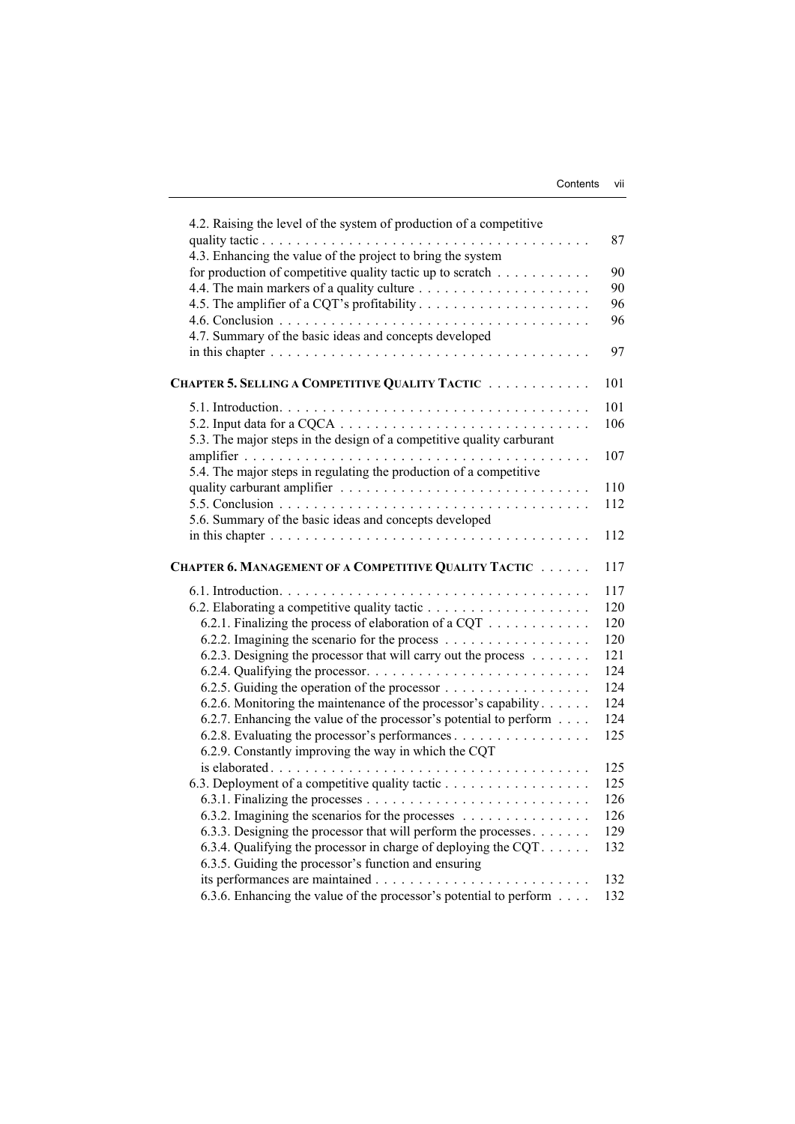| 4.2. Raising the level of the system of production of a competitive                                                                                                         |     |
|-----------------------------------------------------------------------------------------------------------------------------------------------------------------------------|-----|
|                                                                                                                                                                             | 87  |
| 4.3. Enhancing the value of the project to bring the system                                                                                                                 |     |
| for production of competitive quality tactic up to scratch                                                                                                                  | 90  |
|                                                                                                                                                                             | 90  |
|                                                                                                                                                                             | 96  |
|                                                                                                                                                                             | 96  |
| 4.7. Summary of the basic ideas and concepts developed                                                                                                                      |     |
|                                                                                                                                                                             | 97  |
| CHAPTER 5. SELLING A COMPETITIVE QUALITY TACTIC                                                                                                                             | 101 |
|                                                                                                                                                                             |     |
|                                                                                                                                                                             | 101 |
| 5.2. Input data for a CQCA $\ldots \ldots \ldots \ldots \ldots \ldots \ldots \ldots \ldots \ldots$<br>5.3. The major steps in the design of a competitive quality carburant | 106 |
|                                                                                                                                                                             | 107 |
| 5.4. The major steps in regulating the production of a competitive                                                                                                          |     |
|                                                                                                                                                                             | 110 |
|                                                                                                                                                                             | 112 |
| 5.6. Summary of the basic ideas and concepts developed                                                                                                                      |     |
| in this chapter $\ldots \ldots \ldots \ldots \ldots \ldots \ldots \ldots \ldots \ldots \ldots \ldots$                                                                       | 112 |
| CHAPTER 6. MANAGEMENT OF A COMPETITIVE QUALITY TACTIC                                                                                                                       | 117 |
|                                                                                                                                                                             | 117 |
|                                                                                                                                                                             | 120 |
| 6.2.1. Finalizing the process of elaboration of a CQT                                                                                                                       | 120 |
| 6.2.2. Imagining the scenario for the process                                                                                                                               | 120 |
| 6.2.3. Designing the processor that will carry out the process                                                                                                              | 121 |
|                                                                                                                                                                             | 124 |
| 6.2.5. Guiding the operation of the processor                                                                                                                               | 124 |
| 6.2.6. Monitoring the maintenance of the processor's capability                                                                                                             | 124 |
| 6.2.7. Enhancing the value of the processor's potential to perform                                                                                                          | 124 |
| 6.2.8. Evaluating the processor's performances                                                                                                                              | 125 |
| 6.2.9. Constantly improving the way in which the CQT                                                                                                                        |     |
|                                                                                                                                                                             | 125 |
| 6.3. Deployment of a competitive quality tactic                                                                                                                             | 125 |
|                                                                                                                                                                             | 126 |
| 6.3.2. Imagining the scenarios for the processes                                                                                                                            | 126 |
| 6.3.3. Designing the processor that will perform the processes                                                                                                              | 129 |
| 6.3.4. Qualifying the processor in charge of deploying the CQT. $\dots$ .                                                                                                   | 132 |
| 6.3.5. Guiding the processor's function and ensuring                                                                                                                        |     |
|                                                                                                                                                                             | 132 |
| 6.3.6. Enhancing the value of the processor's potential to perform                                                                                                          | 132 |
|                                                                                                                                                                             |     |